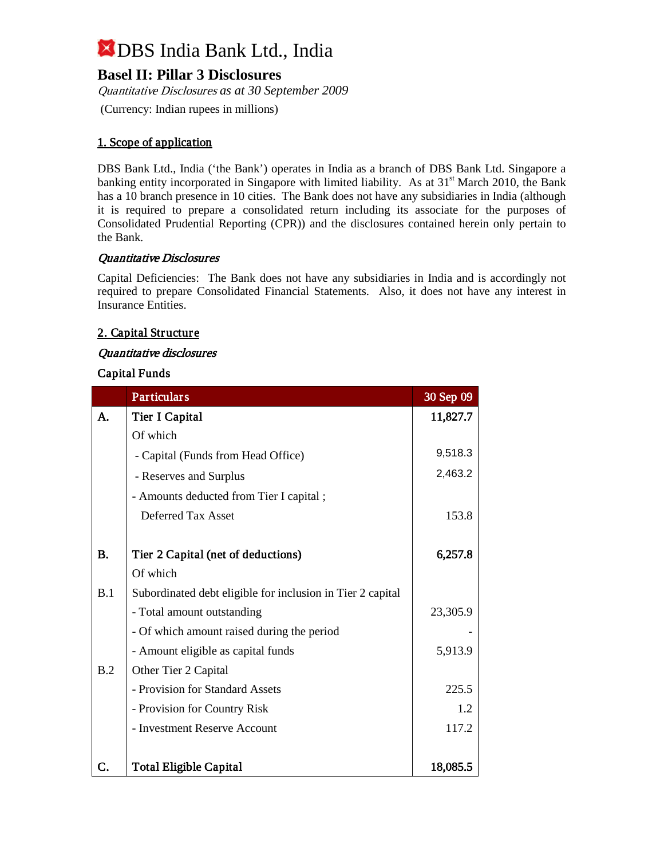### **Basel II: Pillar 3 Disclosures**

Quantitative Disclosures *as at 30 September 2009* (Currency: Indian rupees in millions)

### 1. Scope of application

DBS Bank Ltd., India ('the Bank') operates in India as a branch of DBS Bank Ltd. Singapore a banking entity incorporated in Singapore with limited liability. As at 31<sup>st</sup> March 2010, the Bank has a 10 branch presence in 10 cities. The Bank does not have any subsidiaries in India (although it is required to prepare a consolidated return including its associate for the purposes of Consolidated Prudential Reporting (CPR)) and the disclosures contained herein only pertain to the Bank.

#### Quantitative Disclosures

Capital Deficiencies: The Bank does not have any subsidiaries in India and is accordingly not required to prepare Consolidated Financial Statements. Also, it does not have any interest in Insurance Entities.

### 2. Capital Structure

#### Quantitative disclosures

#### Capital Funds

|           | <b>Particulars</b>                                         | 30 Sep 09 |
|-----------|------------------------------------------------------------|-----------|
| A.        | Tier I Capital                                             | 11,827.7  |
|           | Of which                                                   |           |
|           | - Capital (Funds from Head Office)                         | 9,518.3   |
|           | - Reserves and Surplus                                     | 2,463.2   |
|           | - Amounts deducted from Tier I capital;                    |           |
|           | Deferred Tax Asset                                         | 153.8     |
|           |                                                            |           |
| <b>B.</b> | Tier 2 Capital (net of deductions)                         | 6,257.8   |
|           | Of which                                                   |           |
| B.1       | Subordinated debt eligible for inclusion in Tier 2 capital |           |
|           | - Total amount outstanding                                 | 23,305.9  |
|           | - Of which amount raised during the period                 |           |
|           | - Amount eligible as capital funds                         | 5,913.9   |
| B.2       | Other Tier 2 Capital                                       |           |
|           | - Provision for Standard Assets                            | 225.5     |
|           | - Provision for Country Risk                               | 1.2       |
|           | - Investment Reserve Account                               | 117.2     |
|           |                                                            |           |
| C.        | <b>Total Eligible Capital</b>                              | 18,085.5  |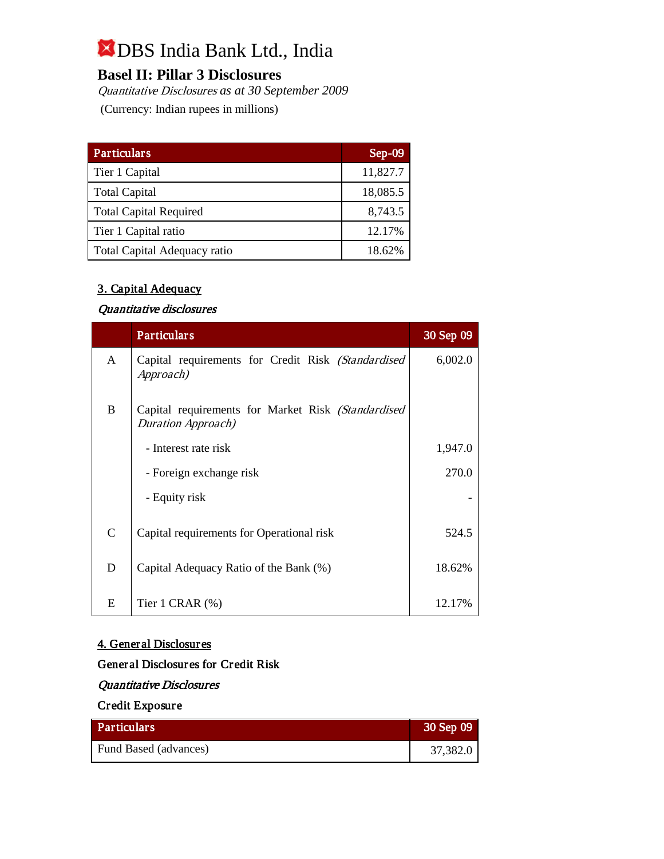### **Basel II: Pillar 3 Disclosures**

Quantitative Disclosures *as at 30 September 2009* (Currency: Indian rupees in millions)

| <b>Particulars</b>                  | $Sep-09$ |
|-------------------------------------|----------|
| Tier 1 Capital                      | 11,827.7 |
| <b>Total Capital</b>                | 18,085.5 |
| <b>Total Capital Required</b>       | 8,743.5  |
| Tier 1 Capital ratio                | 12.17%   |
| <b>Total Capital Adequacy ratio</b> | 18.62%   |

### 3. Capital Adequacy

### Quantitative disclosures

|               | <b>Particulars</b>                                                               | 30 Sep 09 |
|---------------|----------------------------------------------------------------------------------|-----------|
| $\mathsf{A}$  | Capital requirements for Credit Risk (Standardised<br>Approach)                  | 6,002.0   |
| <sub>B</sub>  | Capital requirements for Market Risk (Standardised<br><b>Duration Approach</b> ) |           |
|               | - Interest rate risk                                                             | 1,947.0   |
|               | - Foreign exchange risk                                                          | 270.0     |
|               | - Equity risk                                                                    |           |
| $\mathcal{C}$ | Capital requirements for Operational risk                                        | 524.5     |
| D             | Capital Adequacy Ratio of the Bank (%)                                           | 18.62%    |
| E             | Tier 1 CRAR $(\%)$                                                               | 12.17%    |

#### 4. General Disclosures

### General Disclosures for Credit Risk

### Quantitative Disclosures

### Credit Exposure

| <b>Particulars</b>    | 30 Sep 09 |
|-----------------------|-----------|
| Fund Based (advances) | 37,382.0  |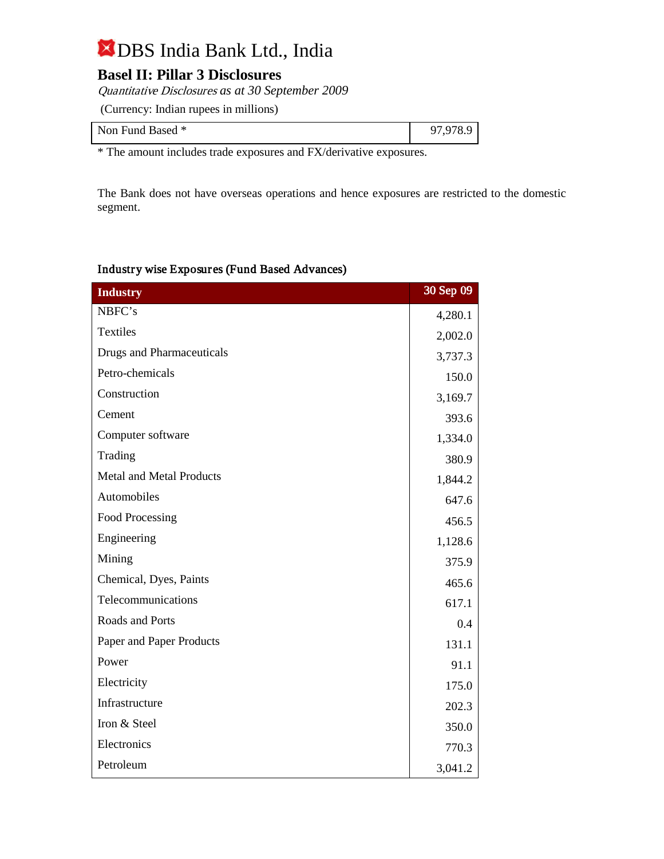### **Basel II: Pillar 3 Disclosures**

Quantitative Disclosures *as at 30 September 2009* (Currency: Indian rupees in millions)

| Non Fund Based * | 07.070.0<br>u |
|------------------|---------------|
|------------------|---------------|

\* The amount includes trade exposures and FX/derivative exposures.

The Bank does not have overseas operations and hence exposures are restricted to the domestic segment.

#### Industry wise Exposures (Fund Based Advances)

| <b>Industry</b>                  | 30 Sep 09 |
|----------------------------------|-----------|
| NBFC's                           | 4,280.1   |
| Textiles                         | 2,002.0   |
| <b>Drugs and Pharmaceuticals</b> | 3,737.3   |
| Petro-chemicals                  | 150.0     |
| Construction                     | 3,169.7   |
| Cement                           | 393.6     |
| Computer software                | 1,334.0   |
| Trading                          | 380.9     |
| <b>Metal and Metal Products</b>  | 1,844.2   |
| Automobiles                      | 647.6     |
| <b>Food Processing</b>           | 456.5     |
| Engineering                      | 1,128.6   |
| Mining                           | 375.9     |
| Chemical, Dyes, Paints           | 465.6     |
| Telecommunications               | 617.1     |
| Roads and Ports                  | 0.4       |
| Paper and Paper Products         | 131.1     |
| Power                            | 91.1      |
| Electricity                      | 175.0     |
| Infrastructure                   | 202.3     |
| Iron & Steel                     | 350.0     |
| Electronics                      | 770.3     |
| Petroleum                        | 3,041.2   |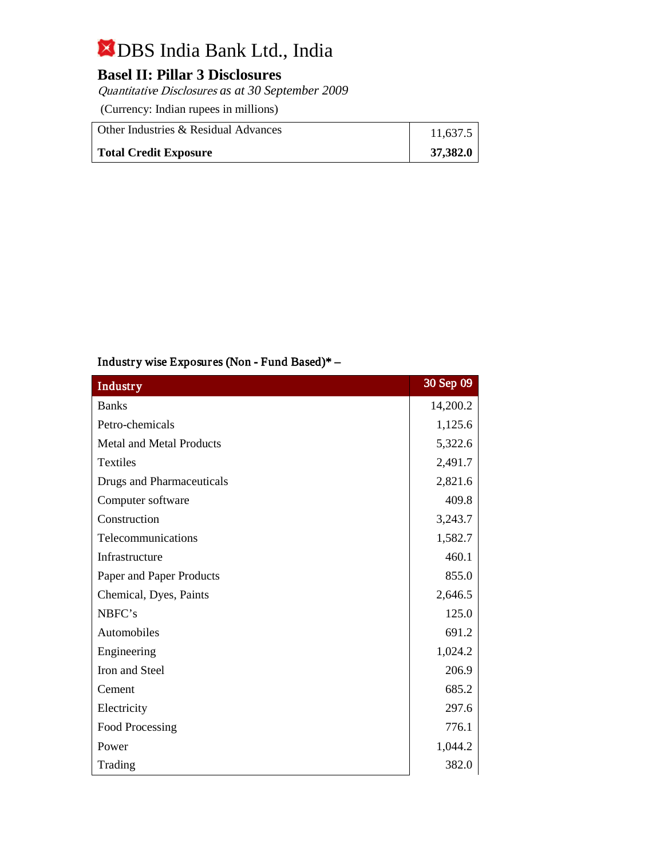### **Basel II: Pillar 3 Disclosures**

Quantitative Disclosures *as at 30 September 2009*

(Currency: Indian rupees in millions)

| Other Industries & Residual Advances | 11,637.5 |
|--------------------------------------|----------|
| <b>Total Credit Exposure</b>         | 37,382.0 |

### Industry wise Exposures (Non - Fund Based)\* –

| <b>Industry</b>                  | 30 Sep 09 |
|----------------------------------|-----------|
| <b>Banks</b>                     | 14,200.2  |
| Petro-chemicals                  | 1,125.6   |
| <b>Metal and Metal Products</b>  | 5,322.6   |
| <b>Textiles</b>                  | 2,491.7   |
| <b>Drugs and Pharmaceuticals</b> | 2,821.6   |
| Computer software                | 409.8     |
| Construction                     | 3,243.7   |
| Telecommunications               | 1,582.7   |
| Infrastructure                   | 460.1     |
| Paper and Paper Products         | 855.0     |
| Chemical, Dyes, Paints           | 2,646.5   |
| NBFC's                           | 125.0     |
| Automobiles                      | 691.2     |
| Engineering                      | 1,024.2   |
| Iron and Steel                   | 206.9     |
| Cement                           | 685.2     |
| Electricity                      | 297.6     |
| Food Processing                  | 776.1     |
| Power                            | 1,044.2   |
| Trading                          | 382.0     |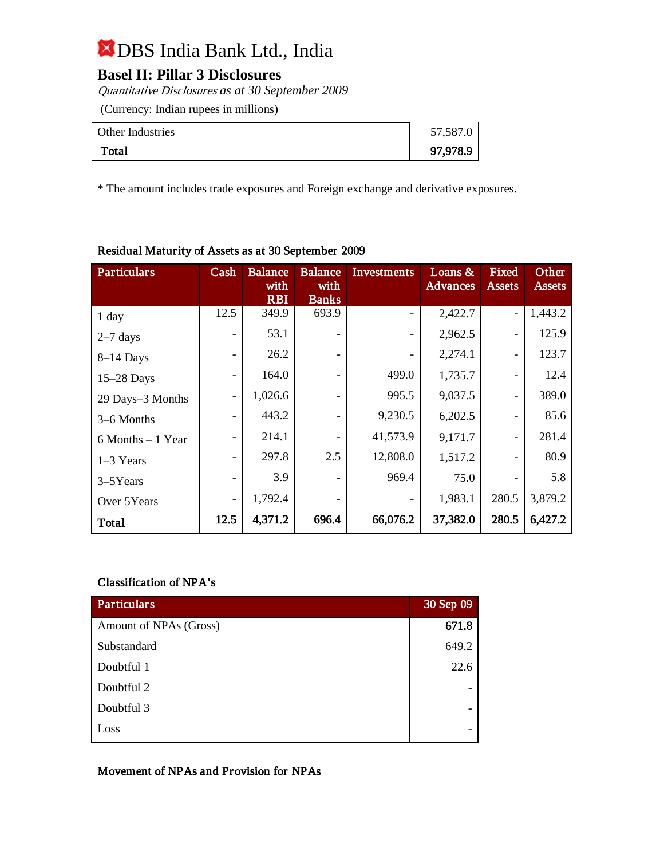### **Basel II: Pillar 3 Disclosures**

Quantitative Disclosures *as at 30 September 2009*

(Currency: Indian rupees in millions)

| Other Industries | 57,587.0 |
|------------------|----------|
| Total            | 97,978.9 |

\* The amount includes trade exposures and Foreign exchange and derivative exposures.

| Particulars          | Cash | <b>Balance</b><br>with | <b>Balance</b><br>with   | Investments | Loans $&$<br><b>Advances</b> | Fixed<br><b>Assets</b>       | Other<br><b>Assets</b> |
|----------------------|------|------------------------|--------------------------|-------------|------------------------------|------------------------------|------------------------|
|                      |      | <b>RBI</b>             | <b>Banks</b>             |             |                              |                              |                        |
| 1 day                | 12.5 | 349.9                  | 693.9                    |             | 2,422.7                      | $\overline{a}$               | 1,443.2                |
| $2-7$ days           |      | 53.1                   |                          |             | 2,962.5                      |                              | 125.9                  |
| $8-14$ Days          | -    | 26.2                   |                          |             | 2,274.1                      | $\qquad \qquad \blacksquare$ | 123.7                  |
| $15-28$ Days         | -    | 164.0                  |                          | 499.0       | 1,735.7                      | -                            | 12.4                   |
| 29 Days-3 Months     | -    | 1,026.6                |                          | 995.5       | 9,037.5                      |                              | 389.0                  |
| 3-6 Months           | -    | 443.2                  |                          | 9,230.5     | 6,202.5                      |                              | 85.6                   |
| $6$ Months $-1$ Year | -    | 214.1                  | $\overline{\phantom{a}}$ | 41,573.9    | 9,171.7                      | $\qquad \qquad \blacksquare$ | 281.4                  |
| $1-3$ Years          | -    | 297.8                  | 2.5                      | 12,808.0    | 1,517.2                      |                              | 80.9                   |
| $3 - 5Y$ ears        | -    | 3.9                    |                          | 969.4       | 75.0                         |                              | 5.8                    |
| Over 5Years          | -    | 1,792.4                |                          |             | 1,983.1                      | 280.5                        | 3,879.2                |
| Total                | 12.5 | 4,371.2                | 696.4                    | 66,076.2    | 37,382.0                     | 280.5                        | 6,427.2                |

### Residual Maturity of Assets as at 30 September 2009

### Classification of NPA's

| <b>Particulars</b>     | 30 Sep 09 |
|------------------------|-----------|
| Amount of NPAs (Gross) | 671.8     |
| Substandard            | 649.2     |
| Doubtful 1             | 22.6      |
| Doubtful 2             |           |
| Doubtful 3             |           |
| Loss                   |           |

Movement of NPAs and Provision for NPAs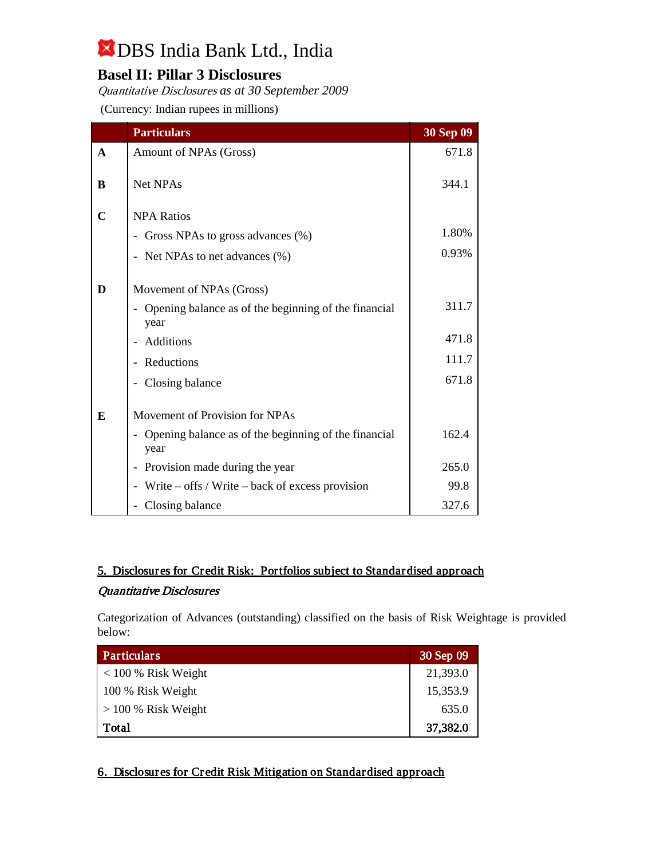### **Basel II: Pillar 3 Disclosures**

Quantitative Disclosures *as at 30 September 2009* (Currency: Indian rupees in millions)

|              | <b>Particulars</b>                                                                       | 30 Sep 09 |
|--------------|------------------------------------------------------------------------------------------|-----------|
| $\mathbf{A}$ | Amount of NPAs (Gross)                                                                   | 671.8     |
| B            | <b>Net NPAs</b>                                                                          | 344.1     |
| $\mathbf C$  | <b>NPA Ratios</b>                                                                        |           |
|              | Gross NPAs to gross advances (%)                                                         | 1.80%     |
|              | - Net NPAs to net advances (%)                                                           | 0.93%     |
| D            | Movement of NPAs (Gross)<br>Opening balance as of the beginning of the financial<br>year | 311.7     |
|              | Additions                                                                                | 471.8     |
|              | Reductions                                                                               | 111.7     |
|              | Closing balance                                                                          | 671.8     |
| E            | Movement of Provision for NPAs                                                           |           |
|              | - Opening balance as of the beginning of the financial<br>year                           | 162.4     |
|              | Provision made during the year                                                           | 265.0     |
|              | Write $-$ offs / Write $-$ back of excess provision                                      | 99.8      |
|              | Closing balance                                                                          | 327.6     |

### 5. Disclosures for Credit Risk: Portfolios subject to Standardised approach

### Quantitative Disclosures

Categorization of Advances (outstanding) classified on the basis of Risk Weightage is provided below:

| Particulars           | 30 Sep 09 |
|-----------------------|-----------|
| $< 100 %$ Risk Weight | 21,393.0  |
| 100 % Risk Weight     | 15,353.9  |
| $>$ 100 % Risk Weight | 635.0     |
| Total                 | 37,382.0  |

### 6. Disclosures for Credit Risk Mitigation on Standardised approach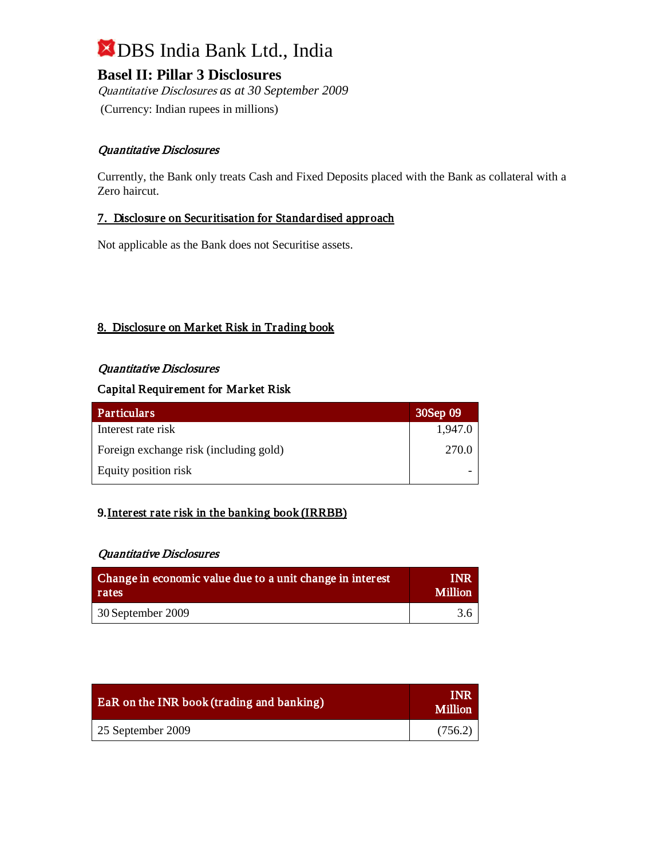**Basel II: Pillar 3 Disclosures** 

Quantitative Disclosures *as at 30 September 2009* (Currency: Indian rupees in millions)

### Quantitative Disclosures

Currently, the Bank only treats Cash and Fixed Deposits placed with the Bank as collateral with a Zero haircut.

### 7. Disclosure on Securitisation for Standardised approach

Not applicable as the Bank does not Securitise assets.

### 8. Disclosure on Market Risk in Trading book

### Quantitative Disclosures

### Capital Requirement for Market Risk

| <b>Particulars</b>                     | 30Sep 09 |
|----------------------------------------|----------|
| Interest rate risk                     | 1,947.0  |
| Foreign exchange risk (including gold) | 270.0    |
| Equity position risk                   |          |

### 9. Interest rate risk in the banking book (IRRBB)

### Quantitative Disclosures

| Change in economic value due to a unit change in interest | <b>INR</b>     |
|-----------------------------------------------------------|----------------|
| rates                                                     | <b>Million</b> |
| $\sqrt{30}$ September 2009                                | 3.6            |

| <b>EaR</b> on the INR book (trading and banking) | INR<br><b>Million</b> |
|--------------------------------------------------|-----------------------|
| 25 September 2009                                | (756.2)               |